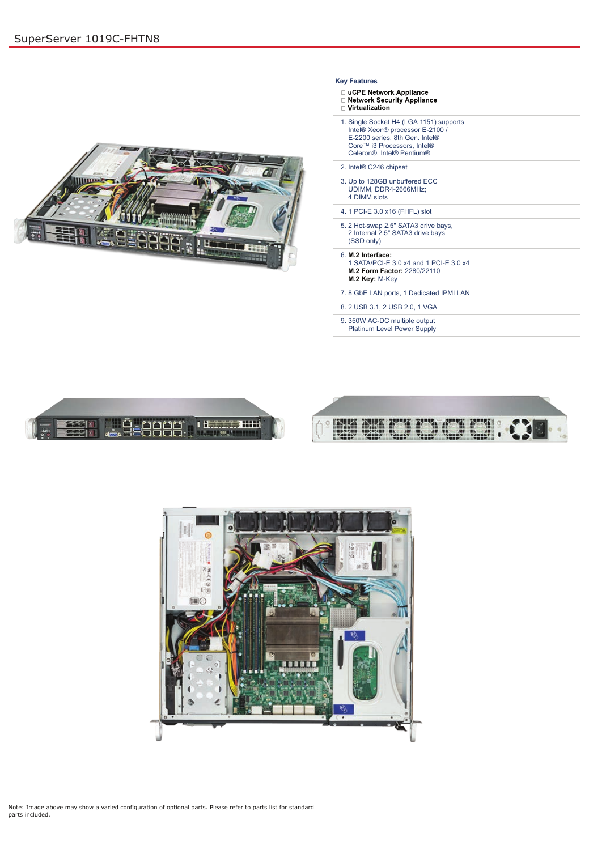Note: Image above may show a varied configuration of optional parts. Please refer to parts list for standard parts included.

## **Key Features**

- □ uCPE Network Appliance
- Retwork Security Appliance
- **i** Virtualization
- 1. Single Socket H4 (LGA 1151) supports Intel® Xeon® processor E-2100 / E-2200 series, 8th Gen. Intel® Core™ i3 Processors, Intel® Celeron®, Intel® Pentium®
- 2. Intel® C246 chipset
- 3. Up to 128GB unbuffered ECC UDIMM, DDR4-2666MHz; 4 DIMM slots
- 4. 1 PCI-E 3.0 x16 (FHFL) slot
- 5. 2 Hot-swap 2.5" SATA3 drive bays, 2 Internal 2.5" SATA3 drive bays (SSD only)
- 6. **M.2 Interface:** 1 SATA/PCI-E 3.0 x4 and 1 PCI-E 3.0 x4 **M.2 Form Factor:** 2280/22110 **M.2 Key:** M-Key
- 7. 8 GbE LAN ports, 1 Dedicated IPMI LAN
- 8. 2 USB 3.1, 2 USB 2.0, 1 VGA
- 9. 350W AC-DC multiple output Platinum Level Power Supply







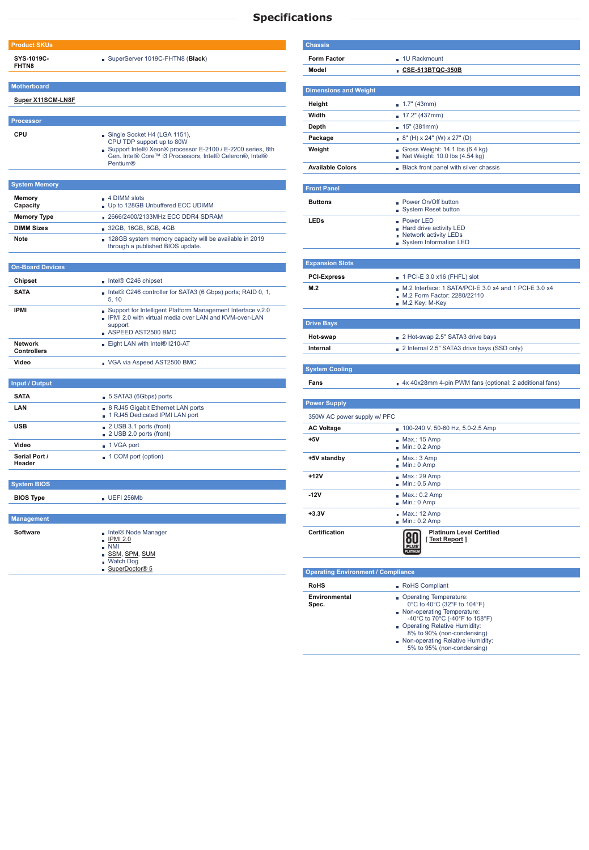| <b>Product SKUs</b>                  |                                                                                                                                                                                                        |  |  |
|--------------------------------------|--------------------------------------------------------------------------------------------------------------------------------------------------------------------------------------------------------|--|--|
| SYS-1019C-<br><b>FHTN8</b>           | SuperServer 1019C-FHTN8 (Black)                                                                                                                                                                        |  |  |
| <b>Motherboard</b>                   |                                                                                                                                                                                                        |  |  |
| <b>Super X11SCM-LN8F</b>             |                                                                                                                                                                                                        |  |  |
| <b>Processor</b>                     |                                                                                                                                                                                                        |  |  |
| <b>CPU</b>                           | Single Socket H4 (LGA 1151),<br>CPU TDP support up to 80W<br>Support Intel® Xeon® processor E-2100 / E-2200 series, 8th<br>Gen. Intel® Core™ i3 Processors, Intel® Celeron®, Intel®<br><b>Pentium®</b> |  |  |
| <b>System Memory</b>                 |                                                                                                                                                                                                        |  |  |
| <b>Memory</b><br>Capacity            | $\blacksquare$ 4 DIMM slots<br>Up to 128GB Unbuffered ECC UDIMM                                                                                                                                        |  |  |
| <b>Memory Type</b>                   | 2666/2400/2133MHz ECC DDR4 SDRAM                                                                                                                                                                       |  |  |
| <b>DIMM Sizes</b>                    | ■ 32GB, 16GB, 8GB, 4GB                                                                                                                                                                                 |  |  |
| <b>Note</b>                          | • 128GB system memory capacity will be available in 2019<br>through a published BIOS update.                                                                                                           |  |  |
| <b>On-Board Devices</b>              |                                                                                                                                                                                                        |  |  |
| <b>Chipset</b>                       | $\blacksquare$ Intel® C246 chipset                                                                                                                                                                     |  |  |
| <b>SATA</b>                          | Intel® C246 controller for SATA3 (6 Gbps) ports; RAID 0, 1,<br>5, 10                                                                                                                                   |  |  |
| <b>IPMI</b>                          | Support for Intelligent Platform Management Interface v.2.0<br>. IPMI 2.0 with virtual media over LAN and KVM-over-LAN<br>support<br>ASPEED AST2500 BMC                                                |  |  |
| <b>Network</b><br><b>Controllers</b> | Eight LAN with Intel® I210-AT                                                                                                                                                                          |  |  |
| Video                                | VGA via Aspeed AST2500 BMC                                                                                                                                                                             |  |  |
| <b>Input / Output</b>                |                                                                                                                                                                                                        |  |  |
| <b>SATA</b>                          | 5 SATA3 (6Gbps) ports                                                                                                                                                                                  |  |  |
| <b>LAN</b>                           | <b>8 RJ45 Gigabit Ethernet LAN ports</b><br>1 RJ45 Dedicated IPMI LAN port                                                                                                                             |  |  |
| <b>USB</b>                           | 2 USB 3.1 ports (front)<br>2 USB 2.0 ports (front)                                                                                                                                                     |  |  |
| Video                                | ■ 1 VGA port                                                                                                                                                                                           |  |  |
| Serial Port /<br>Header              | 1 COM port (option)                                                                                                                                                                                    |  |  |
| <b>System BIOS</b>                   |                                                                                                                                                                                                        |  |  |
| <b>BIOS Type</b>                     | $\blacksquare$ UEFI 256Mb                                                                                                                                                                              |  |  |
|                                      |                                                                                                                                                                                                        |  |  |
| <b>Management</b>                    |                                                                                                                                                                                                        |  |  |
| <b>Software</b>                      | Intel® Node Manager<br><b>IPMI 2.0</b><br>$\blacksquare$ NMI<br>SSM, SPM, SUM<br><b>Watch Dog</b>                                                                                                      |  |  |
|                                      | SuperDoctor® 5                                                                                                                                                                                         |  |  |

| <b>Chassis</b>                            |                                                                                                          |
|-------------------------------------------|----------------------------------------------------------------------------------------------------------|
| <b>Form Factor</b>                        | 1U Rackmount                                                                                             |
| Model                                     | CSE-513BTQC-350B                                                                                         |
|                                           |                                                                                                          |
| <b>Dimensions and Weight</b>              |                                                                                                          |
| Height                                    | 1.7" (43mm)                                                                                              |
| Width                                     | $17.2$ " (437mm)                                                                                         |
| Depth                                     | 15" (381mm)                                                                                              |
| Package                                   | $8"$ (H) x 24" (W) x 27" (D)                                                                             |
| Weight                                    | Gross Weight: $14.1$ lbs $(6.4 \text{ kg})$<br>Net Weight: 10.0 lbs (4.54 kg)                            |
| <b>Available Colors</b>                   | Black front panel with silver chassis                                                                    |
|                                           |                                                                                                          |
| <b>Front Panel</b>                        |                                                                                                          |
| <b>Buttons</b>                            | <b>Power On/Off button</b><br><b>System Reset button</b>                                                 |
| <b>LEDs</b>                               | <b>Power LED</b><br>Hard drive activity LED<br>Network activity LEDs<br>System Information LED           |
|                                           |                                                                                                          |
| <b>Expansion Slots</b>                    |                                                                                                          |
| <b>PCI-Express</b>                        | $\blacksquare$ 1 PCI-E 3.0 x16 (FHFL) slot                                                               |
| M.2                                       | $M.2$ Interface: 1 SATA/PCI-E 3.0 x4 and 1 PCI-E 3.0 x4<br>M.2 Form Factor: 2280/22110<br>M.2 Key: M-Key |
| <b>Drive Bays</b>                         |                                                                                                          |
| Hot-swap                                  | 2 Hot-swap 2.5" SATA3 drive bays                                                                         |
| <b>Internal</b>                           | 2 Internal 2.5" SATA3 drive bays (SSD only)                                                              |
| <b>System Cooling</b>                     |                                                                                                          |
| Fans                                      | 4x 40x28mm 4-pin PWM fans (optional: 2 additional fans)                                                  |
| <b>Power Supply</b>                       |                                                                                                          |
| 350W AC power supply w/ PFC               |                                                                                                          |
| <b>AC Voltage</b>                         | 100-240 V, 50-60 Hz, 5.0-2.5 Amp                                                                         |
| $+5V$                                     | Max.: 15 Amp<br>Min.: 0.2 Amp                                                                            |
| +5V standby                               | Max.: 3 Amp<br>Min.: 0 Amp                                                                               |
| +12V                                      | $Max.: 29$ Amp<br>Min.: 0.5 Amp                                                                          |
| $-12V$                                    | $Max: 0.2$ Amp<br>Min.: 0 Amp                                                                            |
| $+3.3V$                                   | Max.: 12 Amp<br>$Min.: 0.2$ Amp                                                                          |
| <b>Certification</b>                      | <b>Platinum Level Certified</b><br>[Test Report]                                                         |
|                                           |                                                                                                          |
| <b>Operating Environment / Compliance</b> |                                                                                                          |

| $\sim$ portaining military commonly a compliant of |                                                                                                                                                                                                                                                                                                  |  |  |  |
|----------------------------------------------------|--------------------------------------------------------------------------------------------------------------------------------------------------------------------------------------------------------------------------------------------------------------------------------------------------|--|--|--|
| <b>RoHS</b>                                        | RoHS Compliant                                                                                                                                                                                                                                                                                   |  |  |  |
| Environmental<br>Spec.                             | Operating Temperature:<br>$0^{\circ}$ C to 40 $^{\circ}$ C (32 $^{\circ}$ F to 104 $^{\circ}$ F)<br>Non-operating Temperature:<br>-40°C to 70°C (-40°F to 158°F)<br>Operating Relative Humidity:<br>8% to 90% (non-condensing)<br>Non-operating Relative Humidity:<br>5% to 95% (non-condensing) |  |  |  |